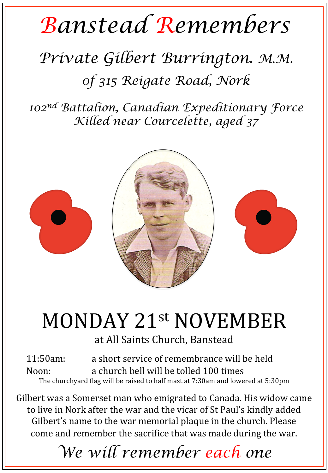## *Banstead Remembers*

## *Private Gilbert Burrington. M.M. 0f 315 Reigate Road, Nork*

*102nd Battalion, Canadian Expeditionary Force Killed near Courcelette, aged 37* 



## MONDAY 21st NOVEMBER

at All Saints Church, Banstead

11:50am: a short service of remembrance will be held Noon: a church bell will be tolled 100 times The churchyard flag will be raised to half mast at 7:30am and lowered at 5:30pm

Gilbert was a Somerset man who emigrated to Canada. His widow came to live in Nork after the war and the vicar of St Paul's kindly added Gilbert's name to the war memorial plaque in the church. Please come and remember the sacrifice that was made during the war.

*We will remember each one*